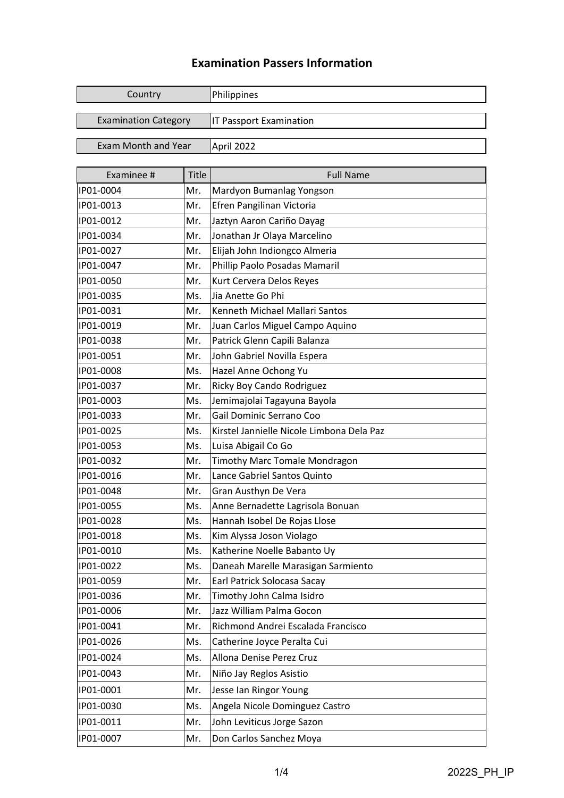## **Examination Passers Information**

| Country                     |              | Philippines                               |
|-----------------------------|--------------|-------------------------------------------|
| <b>Examination Category</b> |              | IT Passport Examination                   |
|                             |              |                                           |
| <b>Exam Month and Year</b>  |              | April 2022                                |
|                             |              |                                           |
| Examinee #                  | <b>Title</b> | <b>Full Name</b>                          |
| IP01-0004                   | Mr.          | Mardyon Bumanlag Yongson                  |
| IP01-0013                   | Mr.          | Efren Pangilinan Victoria                 |
| IP01-0012                   | Mr.          | Jaztyn Aaron Cariño Dayag                 |
| IP01-0034                   | Mr.          | Jonathan Jr Olaya Marcelino               |
| IP01-0027                   | Mr.          | Elijah John Indiongco Almeria             |
| IP01-0047                   | Mr.          | Phillip Paolo Posadas Mamaril             |
| IP01-0050                   | Mr.          | Kurt Cervera Delos Reyes                  |
| IP01-0035                   | Ms.          | Jia Anette Go Phi                         |
| IP01-0031                   | Mr.          | Kenneth Michael Mallari Santos            |
| IP01-0019                   | Mr.          | Juan Carlos Miguel Campo Aquino           |
| IP01-0038                   | Mr.          | Patrick Glenn Capili Balanza              |
| IP01-0051                   | Mr.          | John Gabriel Novilla Espera               |
| IP01-0008                   | Ms.          | Hazel Anne Ochong Yu                      |
| IP01-0037                   | Mr.          | Ricky Boy Cando Rodriguez                 |
| IP01-0003                   | Ms.          | Jemimajolai Tagayuna Bayola               |
| IP01-0033                   | Mr.          | Gail Dominic Serrano Coo                  |
| IP01-0025                   | Ms.          | Kirstel Jannielle Nicole Limbona Dela Paz |
| IP01-0053                   | Ms.          | Luisa Abigail Co Go                       |
| IP01-0032                   | Mr.          | Timothy Marc Tomale Mondragon             |
| IP01-0016                   | Mr.          | Lance Gabriel Santos Quinto               |
| IP01-0048                   | Mr.          | Gran Austhyn De Vera                      |
| IP01-0055                   | Ms.          | Anne Bernadette Lagrisola Bonuan          |
| IP01-0028                   | Ms.          | Hannah Isobel De Rojas Llose              |
| IP01-0018                   | Ms.          | Kim Alyssa Joson Violago                  |
| IP01-0010                   | Ms.          | Katherine Noelle Babanto Uy               |
| IP01-0022                   | Ms.          | Daneah Marelle Marasigan Sarmiento        |
| IP01-0059                   | Mr.          | Earl Patrick Solocasa Sacay               |
| IP01-0036                   | Mr.          | Timothy John Calma Isidro                 |
| IP01-0006                   | Mr.          | Jazz William Palma Gocon                  |
| IP01-0041                   | Mr.          | Richmond Andrei Escalada Francisco        |
| IP01-0026                   | Ms.          | Catherine Joyce Peralta Cui               |
| IP01-0024                   | Ms.          | Allona Denise Perez Cruz                  |
| IP01-0043                   | Mr.          | Niño Jay Reglos Asistio                   |
| IP01-0001                   | Mr.          | Jesse lan Ringor Young                    |
| IP01-0030                   | Ms.          | Angela Nicole Dominguez Castro            |
| IP01-0011                   | Mr.          | John Leviticus Jorge Sazon                |
| IP01-0007                   | Mr.          | Don Carlos Sanchez Moya                   |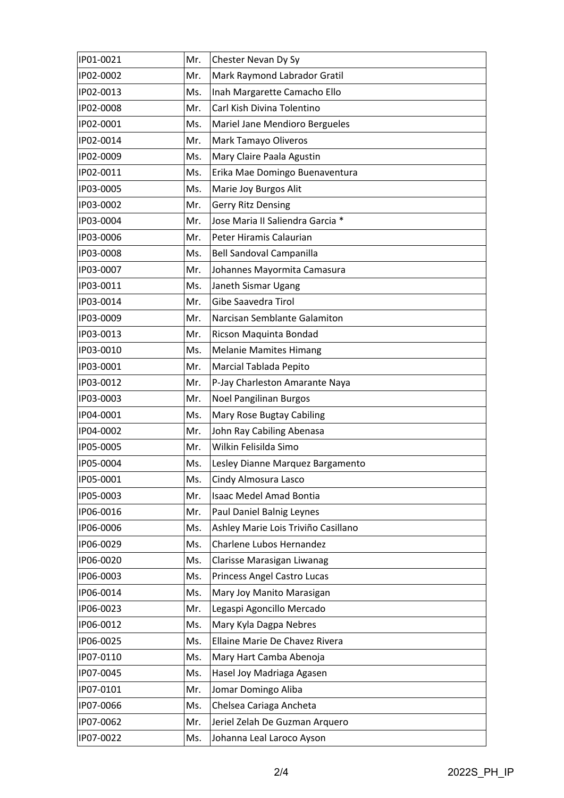| IP01-0021 | Mr. | Chester Nevan Dy Sy                 |
|-----------|-----|-------------------------------------|
| IP02-0002 | Mr. | Mark Raymond Labrador Gratil        |
| IP02-0013 | Ms. | Inah Margarette Camacho Ello        |
| IP02-0008 | Mr. | Carl Kish Divina Tolentino          |
| IP02-0001 | Ms. | Mariel Jane Mendioro Bergueles      |
| IP02-0014 | Mr. | Mark Tamayo Oliveros                |
| IP02-0009 | Ms. | Mary Claire Paala Agustin           |
| IP02-0011 | Ms. | Erika Mae Domingo Buenaventura      |
| IP03-0005 | Ms. | Marie Joy Burgos Alit               |
| IP03-0002 | Mr. | <b>Gerry Ritz Densing</b>           |
| IP03-0004 | Mr. | Jose Maria II Saliendra Garcia *    |
| IP03-0006 | Mr. | Peter Hiramis Calaurian             |
| IP03-0008 | Ms. | <b>Bell Sandoval Campanilla</b>     |
| IP03-0007 | Mr. | Johannes Mayormita Camasura         |
| IP03-0011 | Ms. | Janeth Sismar Ugang                 |
| IP03-0014 | Mr. | Gibe Saavedra Tirol                 |
| IP03-0009 | Mr. | Narcisan Semblante Galamiton        |
| IP03-0013 | Mr. | Ricson Maquinta Bondad              |
| IP03-0010 | Ms. | <b>Melanie Mamites Himang</b>       |
| IP03-0001 | Mr. | Marcial Tablada Pepito              |
| IP03-0012 | Mr. | P-Jay Charleston Amarante Naya      |
| IP03-0003 | Mr. | <b>Noel Pangilinan Burgos</b>       |
| IP04-0001 | Ms. | Mary Rose Bugtay Cabiling           |
| IP04-0002 | Mr. | John Ray Cabiling Abenasa           |
| IP05-0005 | Mr. | Wilkin Felisilda Simo               |
| IP05-0004 | Ms. | Lesley Dianne Marquez Bargamento    |
| IP05-0001 | Ms. | Cindy Almosura Lasco                |
| IP05-0003 | Mr. | Isaac Medel Amad Bontia             |
| IP06-0016 | Mr. | Paul Daniel Balnig Leynes           |
| IP06-0006 | Ms. | Ashley Marie Lois Triviño Casillano |
| IP06-0029 | Ms. | Charlene Lubos Hernandez            |
| IP06-0020 | Ms. | Clarisse Marasigan Liwanag          |
| IP06-0003 | Ms. | Princess Angel Castro Lucas         |
| IP06-0014 | Ms. | Mary Joy Manito Marasigan           |
| IP06-0023 | Mr. | Legaspi Agoncillo Mercado           |
| IP06-0012 | Ms. | Mary Kyla Dagpa Nebres              |
| IP06-0025 | Ms. | Ellaine Marie De Chavez Rivera      |
| IP07-0110 | Ms. | Mary Hart Camba Abenoja             |
| IP07-0045 | Ms. | Hasel Joy Madriaga Agasen           |
| IP07-0101 | Mr. | Jomar Domingo Aliba                 |
| IP07-0066 | Ms. | Chelsea Cariaga Ancheta             |
| IP07-0062 | Mr. | Jeriel Zelah De Guzman Arquero      |
| IP07-0022 | Ms. | Johanna Leal Laroco Ayson           |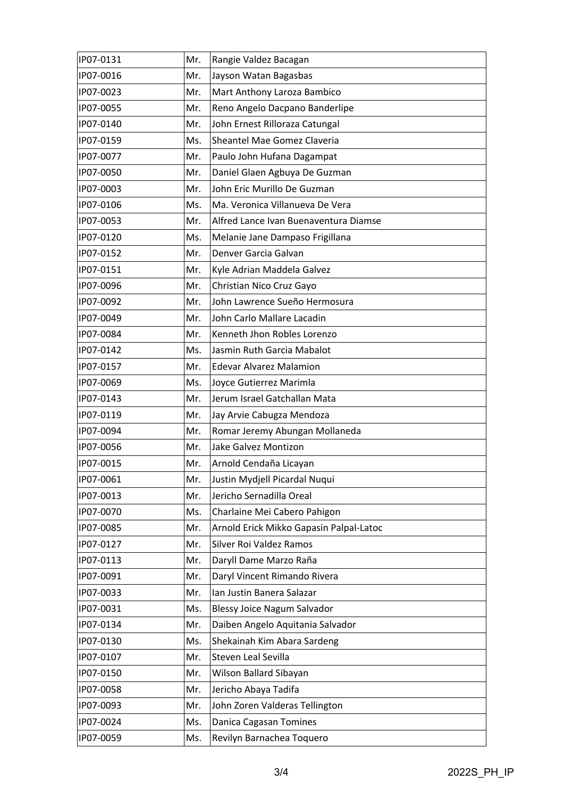| IP07-0131 | Mr. | Rangie Valdez Bacagan                   |
|-----------|-----|-----------------------------------------|
| IP07-0016 | Mr. | Jayson Watan Bagasbas                   |
| IP07-0023 | Mr. | Mart Anthony Laroza Bambico             |
| IP07-0055 | Mr. | Reno Angelo Dacpano Banderlipe          |
| IP07-0140 | Mr. | John Ernest Rilloraza Catungal          |
| IP07-0159 | Ms. | Sheantel Mae Gomez Claveria             |
| IP07-0077 | Mr. | Paulo John Hufana Dagampat              |
| IP07-0050 | Mr. | Daniel Glaen Agbuya De Guzman           |
| IP07-0003 | Mr. | John Eric Murillo De Guzman             |
| IP07-0106 | Ms. | Ma. Veronica Villanueva De Vera         |
| IP07-0053 | Mr. | Alfred Lance Ivan Buenaventura Diamse   |
| IP07-0120 | Ms. | Melanie Jane Dampaso Frigillana         |
| IP07-0152 | Mr. | Denver Garcia Galvan                    |
| IP07-0151 | Mr. | Kyle Adrian Maddela Galvez              |
| IP07-0096 | Mr. | Christian Nico Cruz Gayo                |
| IP07-0092 | Mr. | John Lawrence Sueño Hermosura           |
| IP07-0049 | Mr. | John Carlo Mallare Lacadin              |
| IP07-0084 | Mr. | Kenneth Jhon Robles Lorenzo             |
| IP07-0142 | Ms. | Jasmin Ruth Garcia Mabalot              |
| IP07-0157 | Mr. | <b>Edevar Alvarez Malamion</b>          |
| IP07-0069 | Ms. | Joyce Gutierrez Marimla                 |
| IP07-0143 | Mr. | Jerum Israel Gatchallan Mata            |
| IP07-0119 | Mr. | Jay Arvie Cabugza Mendoza               |
| IP07-0094 | Mr. | Romar Jeremy Abungan Mollaneda          |
| IP07-0056 | Mr. | Jake Galvez Montizon                    |
| IP07-0015 | Mr. | Arnold Cendaña Licayan                  |
| IP07-0061 | Mr. | Justin Mydjell Picardal Nugui           |
| IP07-0013 | Mr. | Jericho Sernadilla Oreal                |
| IP07-0070 | Ms. | Charlaine Mei Cabero Pahigon            |
| IP07-0085 | Mr. | Arnold Erick Mikko Gapasin Palpal-Latoc |
| IP07-0127 | Mr. | Silver Roi Valdez Ramos                 |
| IP07-0113 | Mr. | Daryll Dame Marzo Raña                  |
| IP07-0091 | Mr. | Daryl Vincent Rimando Rivera            |
| IP07-0033 | Mr. | Ian Justin Banera Salazar               |
| IP07-0031 | Ms. | <b>Blessy Joice Nagum Salvador</b>      |
| IP07-0134 | Mr. | Daiben Angelo Aquitania Salvador        |
| IP07-0130 | Ms. | Shekainah Kim Abara Sardeng             |
| IP07-0107 | Mr. | Steven Leal Sevilla                     |
| IP07-0150 | Mr. | Wilson Ballard Sibayan                  |
| IP07-0058 | Mr. | Jericho Abaya Tadifa                    |
| IP07-0093 | Mr. | John Zoren Valderas Tellington          |
| IP07-0024 | Ms. | Danica Cagasan Tomines                  |
| IP07-0059 | Ms. | Revilyn Barnachea Toquero               |